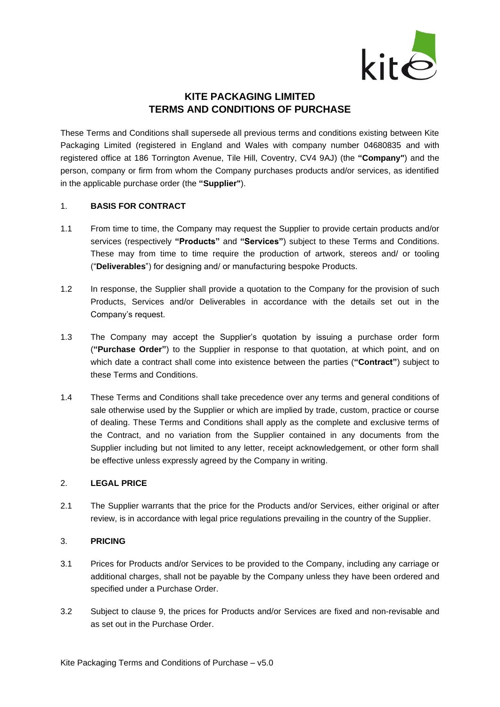

# **KITE PACKAGING LIMITED TERMS AND CONDITIONS OF PURCHASE**

These Terms and Conditions shall supersede all previous terms and conditions existing between Kite Packaging Limited (registered in England and Wales with company number 04680835 and with registered office at 186 Torrington Avenue, Tile Hill, Coventry, CV4 9AJ) (the **"Company"**) and the person, company or firm from whom the Company purchases products and/or services, as identified in the applicable purchase order (the **"Supplier"**).

### 1. **BASIS FOR CONTRACT**

- 1.1 From time to time, the Company may request the Supplier to provide certain products and/or services (respectively **"Products"** and **"Services"**) subject to these Terms and Conditions. These may from time to time require the production of artwork, stereos and/ or tooling ("**Deliverables**") for designing and/ or manufacturing bespoke Products.
- 1.2 In response, the Supplier shall provide a quotation to the Company for the provision of such Products, Services and/or Deliverables in accordance with the details set out in the Company's request.
- 1.3 The Company may accept the Supplier's quotation by issuing a purchase order form (**"Purchase Order"**) to the Supplier in response to that quotation, at which point, and on which date a contract shall come into existence between the parties (**"Contract"**) subject to these Terms and Conditions.
- 1.4 These Terms and Conditions shall take precedence over any terms and general conditions of sale otherwise used by the Supplier or which are implied by trade, custom, practice or course of dealing. These Terms and Conditions shall apply as the complete and exclusive terms of the Contract, and no variation from the Supplier contained in any documents from the Supplier including but not limited to any letter, receipt acknowledgement, or other form shall be effective unless expressly agreed by the Company in writing.

### 2. **LEGAL PRICE**

2.1 The Supplier warrants that the price for the Products and/or Services, either original or after review, is in accordance with legal price regulations prevailing in the country of the Supplier.

## 3. **PRICING**

- 3.1 Prices for Products and/or Services to be provided to the Company, including any carriage or additional charges, shall not be payable by the Company unless they have been ordered and specified under a Purchase Order.
- 3.2 Subject to clause [9,](#page-5-0) the prices for Products and/or Services are fixed and non-revisable and as set out in the Purchase Order.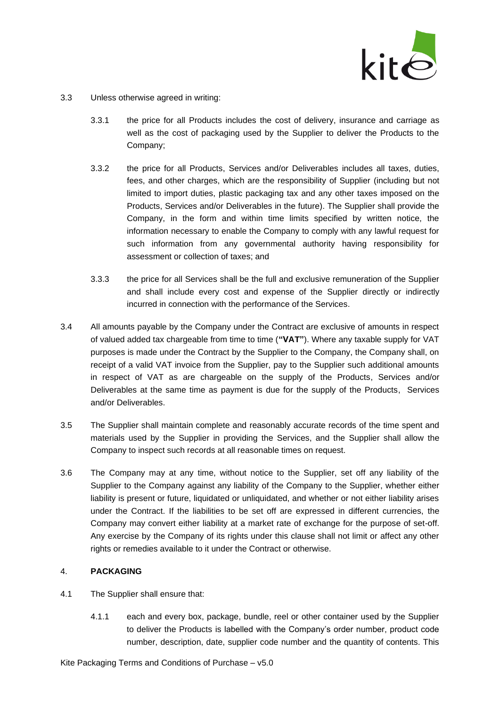

- 3.3 Unless otherwise agreed in writing:
	- 3.3.1 the price for all Products includes the cost of delivery, insurance and carriage as well as the cost of packaging used by the Supplier to deliver the Products to the Company;
	- 3.3.2 the price for all Products, Services and/or Deliverables includes all taxes, duties, fees, and other charges, which are the responsibility of Supplier (including but not limited to import duties, plastic packaging tax and any other taxes imposed on the Products, Services and/or Deliverables in the future). The Supplier shall provide the Company, in the form and within time limits specified by written notice, the information necessary to enable the Company to comply with any lawful request for such information from any governmental authority having responsibility for assessment or collection of taxes; and
	- 3.3.3 the price for all Services shall be the full and exclusive remuneration of the Supplier and shall include every cost and expense of the Supplier directly or indirectly incurred in connection with the performance of the Services.
- 3.4 All amounts payable by the Company under the Contract are exclusive of amounts in respect of valued added tax chargeable from time to time (**"VAT"**). Where any taxable supply for VAT purposes is made under the Contract by the Supplier to the Company, the Company shall, on receipt of a valid VAT invoice from the Supplier, pay to the Supplier such additional amounts in respect of VAT as are chargeable on the supply of the Products, Services and/or Deliverables at the same time as payment is due for the supply of the Products, Services and/or Deliverables.
- 3.5 The Supplier shall maintain complete and reasonably accurate records of the time spent and materials used by the Supplier in providing the Services, and the Supplier shall allow the Company to inspect such records at all reasonable times on request.
- 3.6 The Company may at any time, without notice to the Supplier, set off any liability of the Supplier to the Company against any liability of the Company to the Supplier, whether either liability is present or future, liquidated or unliquidated, and whether or not either liability arises under the Contract. If the liabilities to be set off are expressed in different currencies, the Company may convert either liability at a market rate of exchange for the purpose of set-off. Any exercise by the Company of its rights under this clause shall not limit or affect any other rights or remedies available to it under the Contract or otherwise.

## 4. **PACKAGING**

- 4.1 The Supplier shall ensure that:
	- 4.1.1 each and every box, package, bundle, reel or other container used by the Supplier to deliver the Products is labelled with the Company's order number, product code number, description, date, supplier code number and the quantity of contents. This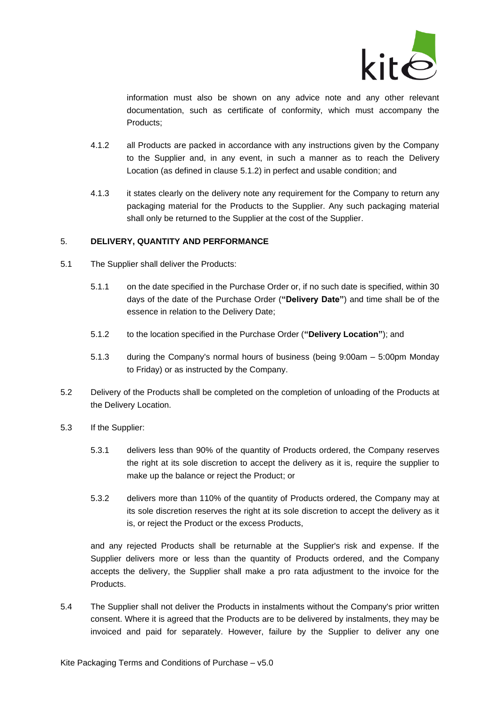

information must also be shown on any advice note and any other relevant documentation, such as certificate of conformity, which must accompany the Products;

- 4.1.2 all Products are packed in accordance with any instructions given by the Company to the Supplier and, in any event, in such a manner as to reach the Delivery Location (as defined in clause [5.1.2\)](#page-2-0) in perfect and usable condition; and
- 4.1.3 it states clearly on the delivery note any requirement for the Company to return any packaging material for the Products to the Supplier. Any such packaging material shall only be returned to the Supplier at the cost of the Supplier.

### 5. **DELIVERY, QUANTITY AND PERFORMANCE**

- 5.1 The Supplier shall deliver the Products:
	- 5.1.1 on the date specified in the Purchase Order or, if no such date is specified, within 30 days of the date of the Purchase Order (**"Delivery Date"**) and time shall be of the essence in relation to the Delivery Date;
	- 5.1.2 to the location specified in the Purchase Order (**"Delivery Location"**); and
	- 5.1.3 during the Company's normal hours of business (being 9:00am 5:00pm Monday to Friday) or as instructed by the Company.
- <span id="page-2-0"></span>5.2 Delivery of the Products shall be completed on the completion of unloading of the Products at the Delivery Location.
- 5.3 If the Supplier:
	- 5.3.1 delivers less than 90% of the quantity of Products ordered, the Company reserves the right at its sole discretion to accept the delivery as it is, require the supplier to make up the balance or reject the Product; or
	- 5.3.2 delivers more than 110% of the quantity of Products ordered, the Company may at its sole discretion reserves the right at its sole discretion to accept the delivery as it is, or reject the Product or the excess Products,

and any rejected Products shall be returnable at the Supplier's risk and expense. If the Supplier delivers more or less than the quantity of Products ordered, and the Company accepts the delivery, the Supplier shall make a pro rata adjustment to the invoice for the Products.

5.4 The Supplier shall not deliver the Products in instalments without the Company's prior written consent. Where it is agreed that the Products are to be delivered by instalments, they may be invoiced and paid for separately. However, failure by the Supplier to deliver any one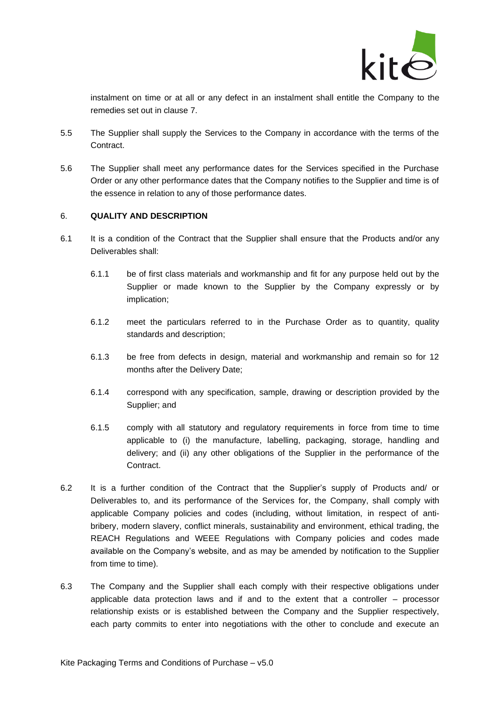

instalment on time or at all or any defect in an instalment shall entitle the Company to the remedies set out in clause [7.](#page-4-0)

- 5.5 The Supplier shall supply the Services to the Company in accordance with the terms of the Contract.
- 5.6 The Supplier shall meet any performance dates for the Services specified in the Purchase Order or any other performance dates that the Company notifies to the Supplier and time is of the essence in relation to any of those performance dates.

### <span id="page-3-0"></span>6. **QUALITY AND DESCRIPTION**

- <span id="page-3-1"></span>6.1 It is a condition of the Contract that the Supplier shall ensure that the Products and/or any Deliverables shall:
	- 6.1.1 be of first class materials and workmanship and fit for any purpose held out by the Supplier or made known to the Supplier by the Company expressly or by implication;
	- 6.1.2 meet the particulars referred to in the Purchase Order as to quantity, quality standards and description;
	- 6.1.3 be free from defects in design, material and workmanship and remain so for 12 months after the Delivery Date;
	- 6.1.4 correspond with any specification, sample, drawing or description provided by the Supplier; and
	- 6.1.5 comply with all statutory and regulatory requirements in force from time to time applicable to (i) the manufacture, labelling, packaging, storage, handling and delivery; and (ii) any other obligations of the Supplier in the performance of the **Contract.**
- <span id="page-3-3"></span><span id="page-3-2"></span>6.2 It is a further condition of the Contract that the Supplier's supply of Products and/ or Deliverables to, and its performance of the Services for, the Company, shall comply with applicable Company policies and codes (including, without limitation, in respect of antibribery, modern slavery, conflict minerals, sustainability and environment, ethical trading, the REACH Regulations and WEEE Regulations with Company policies and codes made available on the Company's website, and as may be amended by notification to the Supplier from time to time).
- 6.3 The Company and the Supplier shall each comply with their respective obligations under applicable data protection laws and if and to the extent that a controller – processor relationship exists or is established between the Company and the Supplier respectively, each party commits to enter into negotiations with the other to conclude and execute an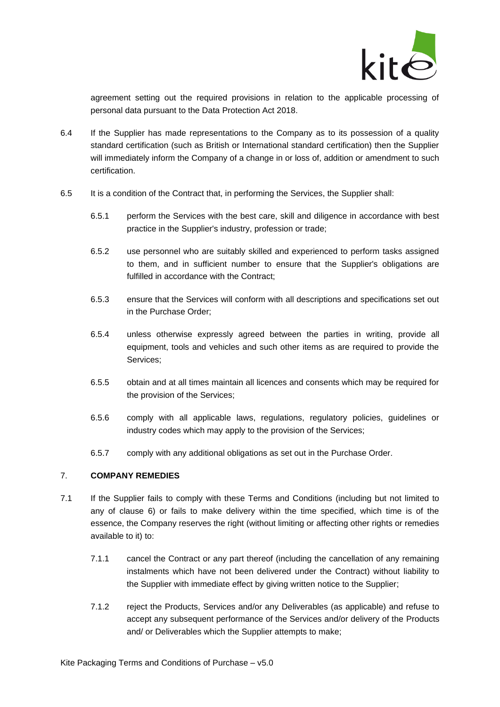

agreement setting out the required provisions in relation to the applicable processing of personal data pursuant to the Data Protection Act 2018.

- 6.4 If the Supplier has made representations to the Company as to its possession of a quality standard certification (such as British or International standard certification) then the Supplier will immediately inform the Company of a change in or loss of, addition or amendment to such certification.
- 6.5 It is a condition of the Contract that, in performing the Services, the Supplier shall:
	- 6.5.1 perform the Services with the best care, skill and diligence in accordance with best practice in the Supplier's industry, profession or trade;
	- 6.5.2 use personnel who are suitably skilled and experienced to perform tasks assigned to them, and in sufficient number to ensure that the Supplier's obligations are fulfilled in accordance with the Contract;
	- 6.5.3 ensure that the Services will conform with all descriptions and specifications set out in the Purchase Order;
	- 6.5.4 unless otherwise expressly agreed between the parties in writing, provide all equipment, tools and vehicles and such other items as are required to provide the Services;
	- 6.5.5 obtain and at all times maintain all licences and consents which may be required for the provision of the Services;
	- 6.5.6 comply with all applicable laws, regulations, regulatory policies, guidelines or industry codes which may apply to the provision of the Services;
	- 6.5.7 comply with any additional obligations as set out in the Purchase Order.

## <span id="page-4-1"></span><span id="page-4-0"></span>7. **COMPANY REMEDIES**

- 7.1 If the Supplier fails to comply with these Terms and Conditions (including but not limited to any of clause [6\)](#page-3-0) or fails to make delivery within the time specified, which time is of the essence, the Company reserves the right (without limiting or affecting other rights or remedies available to it) to:
	- 7.1.1 cancel the Contract or any part thereof (including the cancellation of any remaining instalments which have not been delivered under the Contract) without liability to the Supplier with immediate effect by giving written notice to the Supplier;
	- 7.1.2 reject the Products, Services and/or any Deliverables (as applicable) and refuse to accept any subsequent performance of the Services and/or delivery of the Products and/ or Deliverables which the Supplier attempts to make;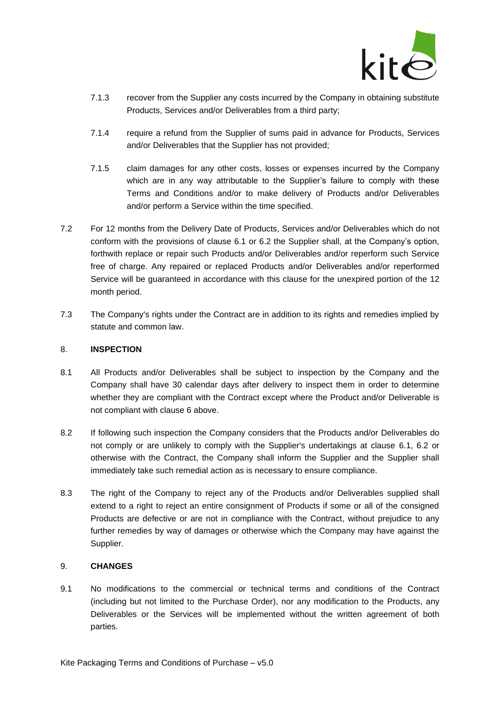

- 7.1.3 recover from the Supplier any costs incurred by the Company in obtaining substitute Products, Services and/or Deliverables from a third party;
- 7.1.4 require a refund from the Supplier of sums paid in advance for Products, Services and/or Deliverables that the Supplier has not provided;
- 7.1.5 claim damages for any other costs, losses or expenses incurred by the Company which are in any way attributable to the Supplier's failure to comply with these Terms and Conditions and/or to make delivery of Products and/or Deliverables and/or perform a Service within the time specified.
- 7.2 For 12 months from the Delivery Date of Products, Services and/or Deliverables which do not conform with the provisions of clause [6.1](#page-3-1) or [6.2](#page-3-2) the Supplier shall, at the Company's option, forthwith replace or repair such Products and/or Deliverables and/or reperform such Service free of charge. Any repaired or replaced Products and/or Deliverables and/or reperformed Service will be guaranteed in accordance with this clause for the unexpired portion of the 12 month period.
- 7.3 The Company's rights under the Contract are in addition to its rights and remedies implied by statute and common law.

### 8. **INSPECTION**

- 8.1 All Products and/or Deliverables shall be subject to inspection by the Company and the Company shall have 30 calendar days after delivery to inspect them in order to determine whether they are compliant with the Contract except where the Product and/or Deliverable is not compliant with clause 6 above.
- 8.2 If following such inspection the Company considers that the Products and/or Deliverables do not comply or are unlikely to comply with the Supplier's undertakings at clause [6.1,](#page-3-1) [6.2](#page-3-2) or otherwise with the Contract, the Company shall inform the Supplier and the Supplier shall immediately take such remedial action as is necessary to ensure compliance.
- 8.3 The right of the Company to reject any of the Products and/or Deliverables supplied shall extend to a right to reject an entire consignment of Products if some or all of the consigned Products are defective or are not in compliance with the Contract, without prejudice to any further remedies by way of damages or otherwise which the Company may have against the Supplier.

### <span id="page-5-0"></span>9. **CHANGES**

9.1 No modifications to the commercial or technical terms and conditions of the Contract (including but not limited to the Purchase Order), nor any modification to the Products, any Deliverables or the Services will be implemented without the written agreement of both parties.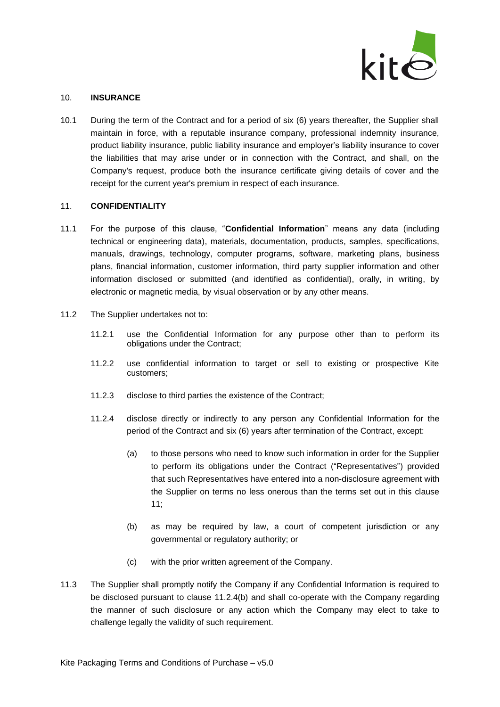

#### 10. **INSURANCE**

10.1 During the term of the Contract and for a period of six (6) years thereafter, the Supplier shall maintain in force, with a reputable insurance company, professional indemnity insurance, product liability insurance, public liability insurance and employer's liability insurance to cover the liabilities that may arise under or in connection with the Contract, and shall, on the Company's request, produce both the insurance certificate giving details of cover and the receipt for the current year's premium in respect of each insurance.

#### <span id="page-6-0"></span>11. **CONFIDENTIALITY**

- 11.1 For the purpose of this clause, "**Confidential Information**" means any data (including technical or engineering data), materials, documentation, products, samples, specifications, manuals, drawings, technology, computer programs, software, marketing plans, business plans, financial information, customer information, third party supplier information and other information disclosed or submitted (and identified as confidential), orally, in writing, by electronic or magnetic media, by visual observation or by any other means.
- 11.2 The Supplier undertakes not to:
	- 11.2.1 use the Confidential Information for any purpose other than to perform its obligations under the Contract;
	- 11.2.2 use confidential information to target or sell to existing or prospective Kite customers;
	- 11.2.3 disclose to third parties the existence of the Contract;
	- 11.2.4 disclose directly or indirectly to any person any Confidential Information for the period of the Contract and six (6) years after termination of the Contract, except:
		- (a) to those persons who need to know such information in order for the Supplier to perform its obligations under the Contract ("Representatives") provided that such Representatives have entered into a non-disclosure agreement with the Supplier on terms no less onerous than the terms set out in this clause [11;](#page-6-0)
		- (b) as may be required by law, a court of competent jurisdiction or any governmental or regulatory authority; or
		- (c) with the prior written agreement of the Company.
- <span id="page-6-1"></span>11.3 The Supplier shall promptly notify the Company if any Confidential Information is required to be disclosed pursuant to clause [11.2.4\(b\)](#page-6-1) and shall co-operate with the Company regarding the manner of such disclosure or any action which the Company may elect to take to challenge legally the validity of such requirement.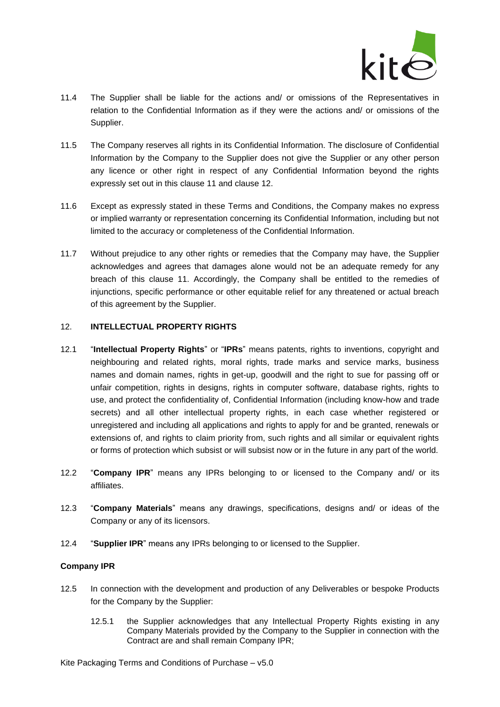

- 11.4 The Supplier shall be liable for the actions and/ or omissions of the Representatives in relation to the Confidential Information as if they were the actions and/ or omissions of the Supplier.
- 11.5 The Company reserves all rights in its Confidential Information. The disclosure of Confidential Information by the Company to the Supplier does not give the Supplier or any other person any licence or other right in respect of any Confidential Information beyond the rights expressly set out in this clause [11](#page-6-0) and clause [12.](#page-7-0)
- 11.6 Except as expressly stated in these Terms and Conditions, the Company makes no express or implied warranty or representation concerning its Confidential Information, including but not limited to the accuracy or completeness of the Confidential Information.
- 11.7 Without prejudice to any other rights or remedies that the Company may have, the Supplier acknowledges and agrees that damages alone would not be an adequate remedy for any breach of this clause [11.](#page-6-0) Accordingly, the Company shall be entitled to the remedies of injunctions, specific performance or other equitable relief for any threatened or actual breach of this agreement by the Supplier.

#### <span id="page-7-0"></span>12. **INTELLECTUAL PROPERTY RIGHTS**

- 12.1 "**Intellectual Property Rights**" or "**IPRs**" means patents, rights to inventions, copyright and neighbouring and related rights, moral rights, trade marks and service marks, business names and domain names, rights in get-up, goodwill and the right to sue for passing off or unfair competition, rights in designs, rights in computer software, database rights, rights to use, and protect the confidentiality of, Confidential Information (including know-how and trade secrets) and all other intellectual property rights, in each case whether registered or unregistered and including all applications and rights to apply for and be granted, renewals or extensions of, and rights to claim priority from, such rights and all similar or equivalent rights or forms of protection which subsist or will subsist now or in the future in any part of the world.
- 12.2 "**Company IPR**" means any IPRs belonging to or licensed to the Company and/ or its affiliates.
- 12.3 "**Company Materials**" means any drawings, specifications, designs and/ or ideas of the Company or any of its licensors.
- 12.4 "**Supplier IPR**" means any IPRs belonging to or licensed to the Supplier.

### **Company IPR**

- 12.5 In connection with the development and production of any Deliverables or bespoke Products for the Company by the Supplier:
	- 12.5.1 the Supplier acknowledges that any Intellectual Property Rights existing in any Company Materials provided by the Company to the Supplier in connection with the Contract are and shall remain Company IPR;

Kite Packaging Terms and Conditions of Purchase – v5.0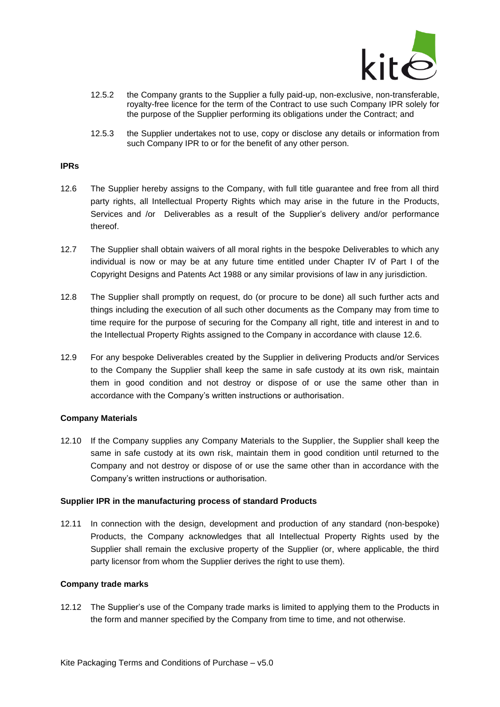

- 12.5.2 the Company grants to the Supplier a fully paid-up, non-exclusive, non-transferable, royalty-free licence for the term of the Contract to use such Company IPR solely for the purpose of the Supplier performing its obligations under the Contract; and
- 12.5.3 the Supplier undertakes not to use, copy or disclose any details or information from such Company IPR to or for the benefit of any other person.

#### **IPRs**

- <span id="page-8-0"></span>12.6 The Supplier hereby assigns to the Company, with full title guarantee and free from all third party rights, all Intellectual Property Rights which may arise in the future in the Products, Services and /or Deliverables as a result of the Supplier's delivery and/or performance thereof.
- 12.7 The Supplier shall obtain waivers of all moral rights in the bespoke Deliverables to which any individual is now or may be at any future time entitled under Chapter IV of Part I of the Copyright Designs and Patents Act 1988 or any similar provisions of law in any jurisdiction.
- 12.8 The Supplier shall promptly on request, do (or procure to be done) all such further acts and things including the execution of all such other documents as the Company may from time to time require for the purpose of securing for the Company all right, title and interest in and to the Intellectual Property Rights assigned to the Company in accordance with clause [12.6.](#page-8-0)
- 12.9 For any bespoke Deliverables created by the Supplier in delivering Products and/or Services to the Company the Supplier shall keep the same in safe custody at its own risk, maintain them in good condition and not destroy or dispose of or use the same other than in accordance with the Company's written instructions or authorisation.

### **Company Materials**

12.10 If the Company supplies any Company Materials to the Supplier, the Supplier shall keep the same in safe custody at its own risk, maintain them in good condition until returned to the Company and not destroy or dispose of or use the same other than in accordance with the Company's written instructions or authorisation.

#### **Supplier IPR in the manufacturing process of standard Products**

12.11 In connection with the design, development and production of any standard (non-bespoke) Products, the Company acknowledges that all Intellectual Property Rights used by the Supplier shall remain the exclusive property of the Supplier (or, where applicable, the third party licensor from whom the Supplier derives the right to use them).

### **Company trade marks**

12.12 The Supplier's use of the Company trade marks is limited to applying them to the Products in the form and manner specified by the Company from time to time, and not otherwise.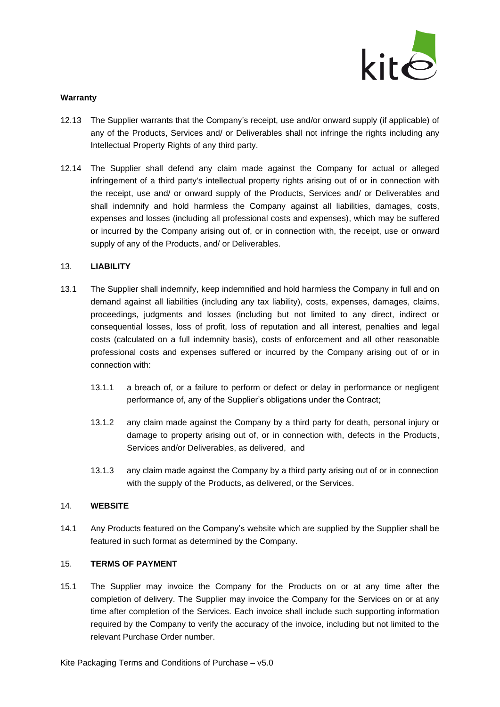

### **Warranty**

- 12.13 The Supplier warrants that the Company's receipt, use and/or onward supply (if applicable) of any of the Products, Services and/ or Deliverables shall not infringe the rights including any Intellectual Property Rights of any third party.
- 12.14 The Supplier shall defend any claim made against the Company for actual or alleged infringement of a third party's intellectual property rights arising out of or in connection with the receipt, use and/ or onward supply of the Products, Services and/ or Deliverables and shall indemnify and hold harmless the Company against all liabilities, damages, costs, expenses and losses (including all professional costs and expenses), which may be suffered or incurred by the Company arising out of, or in connection with, the receipt, use or onward supply of any of the Products, and/ or Deliverables.

### 13. **LIABILITY**

- 13.1 The Supplier shall indemnify, keep indemnified and hold harmless the Company in full and on demand against all liabilities (including any tax liability), costs, expenses, damages, claims, proceedings, judgments and losses (including but not limited to any direct, indirect or consequential losses, loss of profit, loss of reputation and all interest, penalties and legal costs (calculated on a full indemnity basis), costs of enforcement and all other reasonable professional costs and expenses suffered or incurred by the Company arising out of or in connection with:
	- 13.1.1 a breach of, or a failure to perform or defect or delay in performance or negligent performance of, any of the Supplier's obligations under the Contract;
	- 13.1.2 any claim made against the Company by a third party for death, personal injury or damage to property arising out of, or in connection with, defects in the Products, Services and/or Deliverables, as delivered, and
	- 13.1.3 any claim made against the Company by a third party arising out of or in connection with the supply of the Products, as delivered, or the Services.

### 14. **WEBSITE**

14.1 Any Products featured on the Company's website which are supplied by the Supplier shall be featured in such format as determined by the Company.

### 15. **TERMS OF PAYMENT**

15.1 The Supplier may invoice the Company for the Products on or at any time after the completion of delivery. The Supplier may invoice the Company for the Services on or at any time after completion of the Services. Each invoice shall include such supporting information required by the Company to verify the accuracy of the invoice, including but not limited to the relevant Purchase Order number.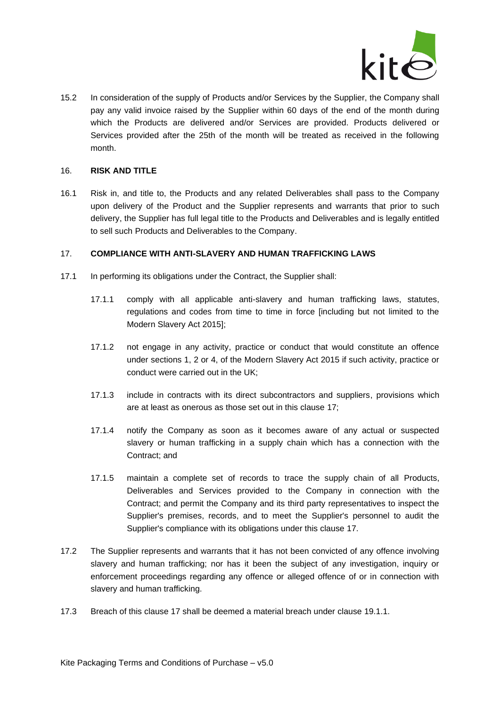

15.2 In consideration of the supply of Products and/or Services by the Supplier, the Company shall pay any valid invoice raised by the Supplier within 60 days of the end of the month during which the Products are delivered and/or Services are provided. Products delivered or Services provided after the 25th of the month will be treated as received in the following month.

## 16. **RISK AND TITLE**

16.1 Risk in, and title to, the Products and any related Deliverables shall pass to the Company upon delivery of the Product and the Supplier represents and warrants that prior to such delivery, the Supplier has full legal title to the Products and Deliverables and is legally entitled to sell such Products and Deliverables to the Company.

### <span id="page-10-0"></span>17. **COMPLIANCE WITH ANTI-SLAVERY AND HUMAN TRAFFICKING LAWS**

- 17.1 In performing its obligations under the Contract, the Supplier shall:
	- 17.1.1 comply with all applicable anti-slavery and human trafficking laws, statutes, regulations and codes from time to time in force [including but not limited to the Modern Slavery Act 2015];
	- 17.1.2 not engage in any activity, practice or conduct that would constitute an offence under sections 1, 2 or 4, of the Modern Slavery Act 2015 if such activity, practice or conduct were carried out in the UK;
	- 17.1.3 include in contracts with its direct subcontractors and suppliers, provisions which are at least as onerous as those set out in this clause [17;](#page-10-0)
	- 17.1.4 notify the Company as soon as it becomes aware of any actual or suspected slavery or human trafficking in a supply chain which has a connection with the Contract; and
	- 17.1.5 maintain a complete set of records to trace the supply chain of all Products, Deliverables and Services provided to the Company in connection with the Contract; and permit the Company and its third party representatives to inspect the Supplier's premises, records, and to meet the Supplier's personnel to audit the Supplier's compliance with its obligations under this clause [17.](#page-10-0)
- 17.2 The Supplier represents and warrants that it has not been convicted of any offence involving slavery and human trafficking; nor has it been the subject of any investigation, inquiry or enforcement proceedings regarding any offence or alleged offence of or in connection with slavery and human trafficking.
- 17.3 Breach of this clause [17](#page-10-0) shall be deemed a material breach under clause [19.1.1.](#page-12-0)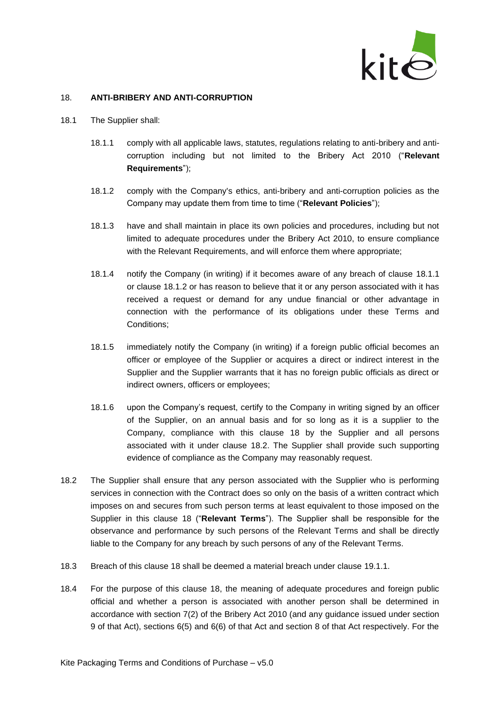

### <span id="page-11-2"></span>18. **ANTI-BRIBERY AND ANTI-CORRUPTION**

- <span id="page-11-1"></span><span id="page-11-0"></span>18.1 The Supplier shall:
	- 18.1.1 comply with all applicable laws, statutes, regulations relating to anti-bribery and anticorruption including but not limited to the Bribery Act 2010 ("**Relevant Requirements**");
	- 18.1.2 comply with the Company's ethics, anti-bribery and anti-corruption policies as the Company may update them from time to time ("**Relevant Policies**");
	- 18.1.3 have and shall maintain in place its own policies and procedures, including but not limited to adequate procedures under the Bribery Act 2010, to ensure compliance with the Relevant Requirements, and will enforce them where appropriate;
	- 18.1.4 notify the Company (in writing) if it becomes aware of any breach of clause [18.1.1](#page-11-0) or clause [18.1.2](#page-11-1) or has reason to believe that it or any person associated with it has received a request or demand for any undue financial or other advantage in connection with the performance of its obligations under these Terms and Conditions;
	- 18.1.5 immediately notify the Company (in writing) if a foreign public official becomes an officer or employee of the Supplier or acquires a direct or indirect interest in the Supplier and the Supplier warrants that it has no foreign public officials as direct or indirect owners, officers or employees;
	- 18.1.6 upon the Company's request, certify to the Company in writing signed by an officer of the Supplier, on an annual basis and for so long as it is a supplier to the Company, compliance with this clause [18](#page-11-2) by the Supplier and all persons associated with it under clause [18.2.](#page-11-3) The Supplier shall provide such supporting evidence of compliance as the Company may reasonably request.
- <span id="page-11-3"></span>18.2 The Supplier shall ensure that any person associated with the Supplier who is performing services in connection with the Contract does so only on the basis of a written contract which imposes on and secures from such person terms at least equivalent to those imposed on the Supplier in this clause [18](#page-11-2) ("**Relevant Terms**"). The Supplier shall be responsible for the observance and performance by such persons of the Relevant Terms and shall be directly liable to the Company for any breach by such persons of any of the Relevant Terms.
- 18.3 Breach of this clause [18](#page-11-2) shall be deemed a material breach under clause [19.1.1.](#page-12-0)
- 18.4 For the purpose of this clause [18,](#page-11-2) the meaning of adequate procedures and foreign public official and whether a person is associated with another person shall be determined in accordance with section 7(2) of the Bribery Act 2010 (and any guidance issued under section 9 of that Act), sections 6(5) and 6(6) of that Act and section 8 of that Act respectively. For the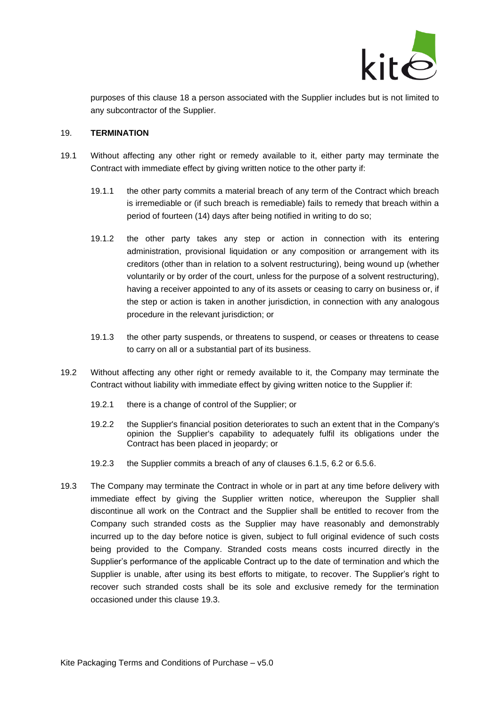

purposes of this clause [18](#page-11-2) a person associated with the Supplier includes but is not limited to any subcontractor of the Supplier.

#### 19. **TERMINATION**

- <span id="page-12-0"></span>19.1 Without affecting any other right or remedy available to it, either party may terminate the Contract with immediate effect by giving written notice to the other party if:
	- 19.1.1 the other party commits a material breach of any term of the Contract which breach is irremediable or (if such breach is remediable) fails to remedy that breach within a period of fourteen (14) days after being notified in writing to do so;
	- 19.1.2 the other party takes any step or action in connection with its entering administration, provisional liquidation or any composition or arrangement with its creditors (other than in relation to a solvent restructuring), being wound up (whether voluntarily or by order of the court, unless for the purpose of a solvent restructuring), having a receiver appointed to any of its assets or ceasing to carry on business or, if the step or action is taken in another jurisdiction, in connection with any analogous procedure in the relevant jurisdiction; or
	- 19.1.3 the other party suspends, or threatens to suspend, or ceases or threatens to cease to carry on all or a substantial part of its business.
- 19.2 Without affecting any other right or remedy available to it, the Company may terminate the Contract without liability with immediate effect by giving written notice to the Supplier if:
	- 19.2.1 there is a change of control of the Supplier; or
	- 19.2.2 the Supplier's financial position deteriorates to such an extent that in the Company's opinion the Supplier's capability to adequately fulfil its obligations under the Contract has been placed in jeopardy; or
	- 19.2.3 the Supplier commits a breach of any of clauses [6.1.5,](#page-3-3) [6.2](#page-3-2) or [6.5.6.](#page-4-1)
- <span id="page-12-1"></span>19.3 The Company may terminate the Contract in whole or in part at any time before delivery with immediate effect by giving the Supplier written notice, whereupon the Supplier shall discontinue all work on the Contract and the Supplier shall be entitled to recover from the Company such stranded costs as the Supplier may have reasonably and demonstrably incurred up to the day before notice is given, subject to full original evidence of such costs being provided to the Company. Stranded costs means costs incurred directly in the Supplier's performance of the applicable Contract up to the date of termination and which the Supplier is unable, after using its best efforts to mitigate, to recover. The Supplier's right to recover such stranded costs shall be its sole and exclusive remedy for the termination occasioned under this clause [19.3.](#page-12-1)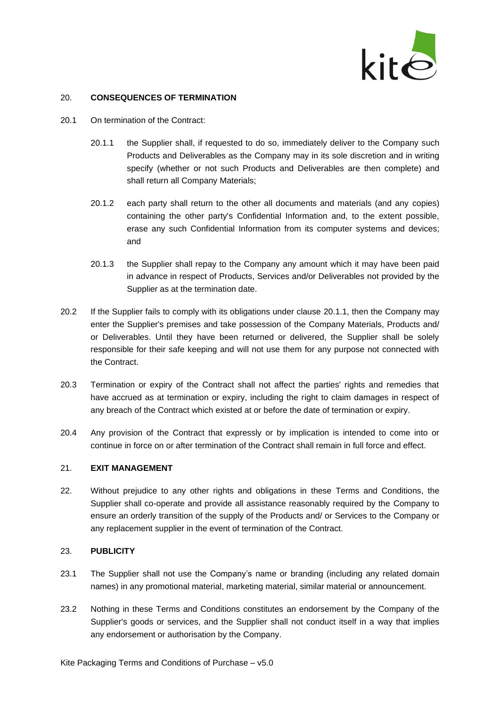

### 20. **CONSEQUENCES OF TERMINATION**

- <span id="page-13-0"></span>20.1 On termination of the Contract:
	- 20.1.1 the Supplier shall, if requested to do so, immediately deliver to the Company such Products and Deliverables as the Company may in its sole discretion and in writing specify (whether or not such Products and Deliverables are then complete) and shall return all Company Materials;
	- 20.1.2 each party shall return to the other all documents and materials (and any copies) containing the other party's Confidential Information and, to the extent possible, erase any such Confidential Information from its computer systems and devices; and
	- 20.1.3 the Supplier shall repay to the Company any amount which it may have been paid in advance in respect of Products, Services and/or Deliverables not provided by the Supplier as at the termination date.
- 20.2 If the Supplier fails to comply with its obligations under clause [20.1.1,](#page-13-0) then the Company may enter the Supplier's premises and take possession of the Company Materials, Products and/ or Deliverables. Until they have been returned or delivered, the Supplier shall be solely responsible for their safe keeping and will not use them for any purpose not connected with the Contract.
- 20.3 Termination or expiry of the Contract shall not affect the parties' rights and remedies that have accrued as at termination or expiry, including the right to claim damages in respect of any breach of the Contract which existed at or before the date of termination or expiry.
- 20.4 Any provision of the Contract that expressly or by implication is intended to come into or continue in force on or after termination of the Contract shall remain in full force and effect.

### 21. **EXIT MANAGEMENT**

22. Without prejudice to any other rights and obligations in these Terms and Conditions, the Supplier shall co-operate and provide all assistance reasonably required by the Company to ensure an orderly transition of the supply of the Products and/ or Services to the Company or any replacement supplier in the event of termination of the Contract.

### 23. **PUBLICITY**

- 23.1 The Supplier shall not use the Company's name or branding (including any related domain names) in any promotional material, marketing material, similar material or announcement.
- 23.2 Nothing in these Terms and Conditions constitutes an endorsement by the Company of the Supplier's goods or services, and the Supplier shall not conduct itself in a way that implies any endorsement or authorisation by the Company.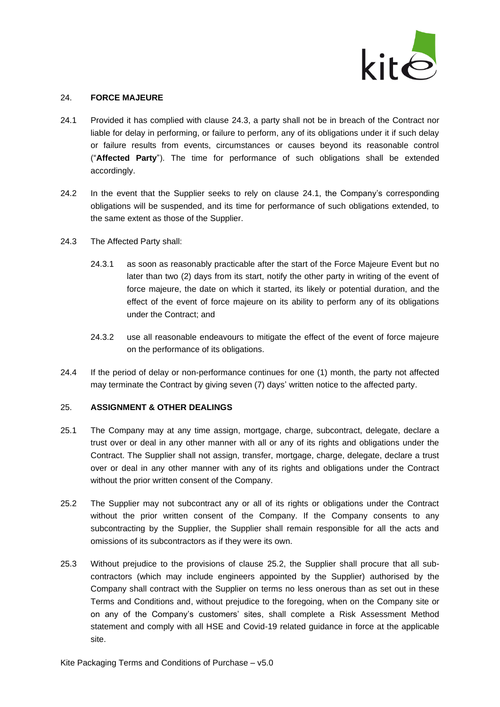

#### 24. **FORCE MAJEURE**

- <span id="page-14-1"></span>24.1 Provided it has complied with clause [24.3,](#page-14-0) a party shall not be in breach of the Contract nor liable for delay in performing, or failure to perform, any of its obligations under it if such delay or failure results from events, circumstances or causes beyond its reasonable control ("**Affected Party**"). The time for performance of such obligations shall be extended accordingly.
- 24.2 In the event that the Supplier seeks to rely on clause [24.1,](#page-14-1) the Company's corresponding obligations will be suspended, and its time for performance of such obligations extended, to the same extent as those of the Supplier.
- <span id="page-14-0"></span>24.3 The Affected Party shall:
	- 24.3.1 as soon as reasonably practicable after the start of the Force Majeure Event but no later than two (2) days from its start, notify the other party in writing of the event of force majeure, the date on which it started, its likely or potential duration, and the effect of the event of force majeure on its ability to perform any of its obligations under the Contract; and
	- 24.3.2 use all reasonable endeavours to mitigate the effect of the event of force majeure on the performance of its obligations.
- 24.4 If the period of delay or non-performance continues for one (1) month, the party not affected may terminate the Contract by giving seven (7) days' written notice to the affected party.

### 25. **ASSIGNMENT & OTHER DEALINGS**

- 25.1 The Company may at any time assign, mortgage, charge, subcontract, delegate, declare a trust over or deal in any other manner with all or any of its rights and obligations under the Contract. The Supplier shall not assign, transfer, mortgage, charge, delegate, declare a trust over or deal in any other manner with any of its rights and obligations under the Contract without the prior written consent of the Company.
- <span id="page-14-2"></span>25.2 The Supplier may not subcontract any or all of its rights or obligations under the Contract without the prior written consent of the Company. If the Company consents to any subcontracting by the Supplier, the Supplier shall remain responsible for all the acts and omissions of its subcontractors as if they were its own.
- 25.3 Without prejudice to the provisions of clause [25.2,](#page-14-2) the Supplier shall procure that all subcontractors (which may include engineers appointed by the Supplier) authorised by the Company shall contract with the Supplier on terms no less onerous than as set out in these Terms and Conditions and, without prejudice to the foregoing, when on the Company site or on any of the Company's customers' sites, shall complete a Risk Assessment Method statement and comply with all HSE and Covid-19 related guidance in force at the applicable site.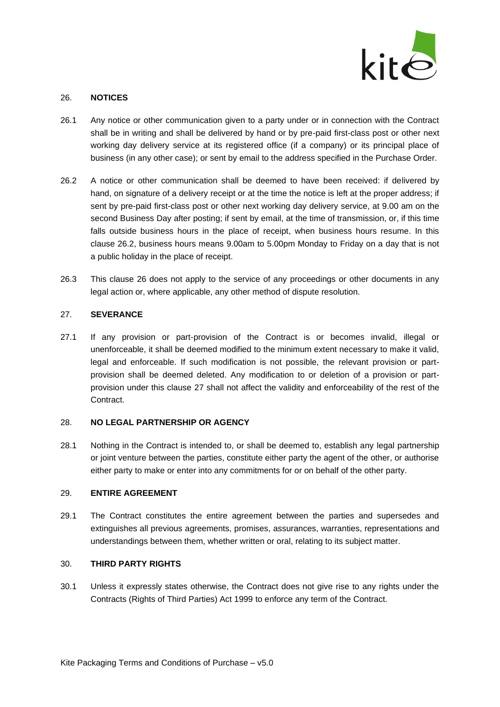

#### <span id="page-15-1"></span>26. **NOTICES**

- 26.1 Any notice or other communication given to a party under or in connection with the Contract shall be in writing and shall be delivered by hand or by pre-paid first-class post or other next working day delivery service at its registered office (if a company) or its principal place of business (in any other case); or sent by email to the address specified in the Purchase Order.
- <span id="page-15-0"></span>26.2 A notice or other communication shall be deemed to have been received: if delivered by hand, on signature of a delivery receipt or at the time the notice is left at the proper address; if sent by pre-paid first-class post or other next working day delivery service, at 9.00 am on the second Business Day after posting; if sent by email, at the time of transmission, or, if this time falls outside business hours in the place of receipt, when business hours resume. In this clause [26.2,](#page-15-0) business hours means 9.00am to 5.00pm Monday to Friday on a day that is not a public holiday in the place of receipt.
- 26.3 This clause [26](#page-15-1) does not apply to the service of any proceedings or other documents in any legal action or, where applicable, any other method of dispute resolution.

### <span id="page-15-2"></span>27. **SEVERANCE**

27.1 If any provision or part-provision of the Contract is or becomes invalid, illegal or unenforceable, it shall be deemed modified to the minimum extent necessary to make it valid, legal and enforceable. If such modification is not possible, the relevant provision or partprovision shall be deemed deleted. Any modification to or deletion of a provision or partprovision under this clause [27](#page-15-2) shall not affect the validity and enforceability of the rest of the Contract.

#### 28. **NO LEGAL PARTNERSHIP OR AGENCY**

28.1 Nothing in the Contract is intended to, or shall be deemed to, establish any legal partnership or joint venture between the parties, constitute either party the agent of the other, or authorise either party to make or enter into any commitments for or on behalf of the other party.

#### 29. **ENTIRE AGREEMENT**

29.1 The Contract constitutes the entire agreement between the parties and supersedes and extinguishes all previous agreements, promises, assurances, warranties, representations and understandings between them, whether written or oral, relating to its subject matter.

#### 30. **THIRD PARTY RIGHTS**

30.1 Unless it expressly states otherwise, the Contract does not give rise to any rights under the Contracts (Rights of Third Parties) Act 1999 to enforce any term of the Contract.